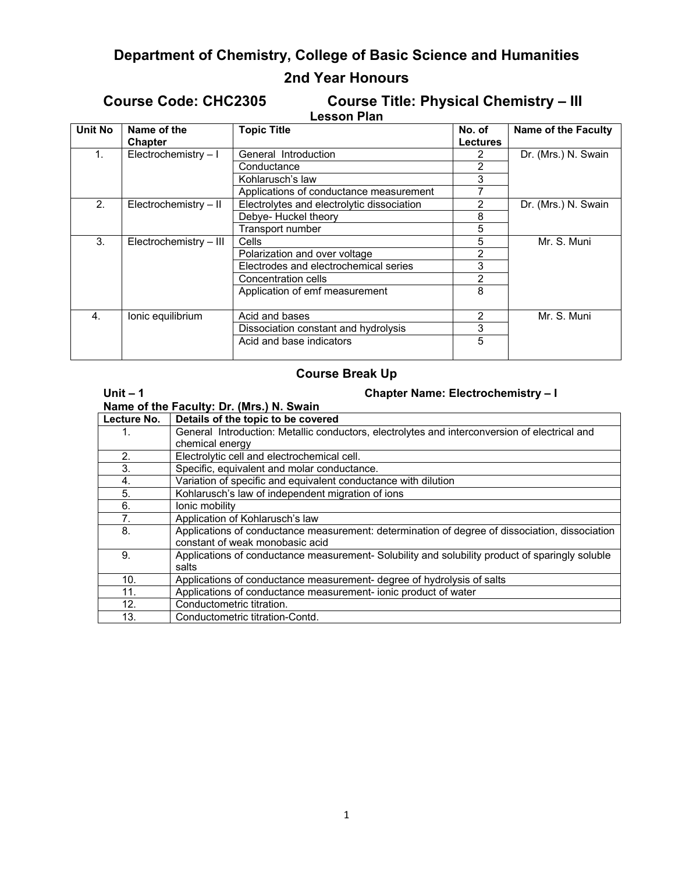# **Department of Chemistry, College of Basic Science and Humanities**

# **2nd Year Honours**

# **Course Code: CHC2305 Course Title: Physical Chemistry – III**

|                    | <b>COUTSE THE PHYSICAL CHEMIC</b> |
|--------------------|-----------------------------------|
| <b>Lesson Plan</b> |                                   |

| Unit No | Name of the<br>Chapter | <b>Topic Title</b>                         | No. of<br><b>Lectures</b> | <b>Name of the Faculty</b> |
|---------|------------------------|--------------------------------------------|---------------------------|----------------------------|
| 1.      | Electrochemistry-I     | General Introduction                       |                           | Dr. (Mrs.) N. Swain        |
|         |                        | Conductance                                | 2                         |                            |
|         |                        | Kohlarusch's law                           | 3                         |                            |
|         |                        | Applications of conductance measurement    |                           |                            |
| 2.      | Electrochemistry - II  | Electrolytes and electrolytic dissociation | 2                         | Dr. (Mrs.) N. Swain        |
|         |                        | Debye- Huckel theory                       | 8                         |                            |
|         |                        | Transport number                           | 5                         |                            |
| 3.      | Electrochemistry - III | Cells                                      | 5                         | Mr. S. Muni                |
|         |                        | Polarization and over voltage              | 2                         |                            |
|         |                        | Electrodes and electrochemical series      | 3                         |                            |
|         |                        | Concentration cells                        | $\overline{2}$            |                            |
|         |                        | Application of emf measurement             | 8                         |                            |
| 4.      | Ionic equilibrium      | Acid and bases                             | $\mathcal{P}$             | Mr. S. Muni                |
|         |                        | Dissociation constant and hydrolysis       | 3                         |                            |
|         |                        | Acid and base indicators                   | 5                         |                            |

# **Course Break Up**

| Unit $-1$                                | <b>Chapter Name: Electrochemistry - I</b>                                                                                         |  |
|------------------------------------------|-----------------------------------------------------------------------------------------------------------------------------------|--|
| Name of the Faculty: Dr. (Mrs.) N. Swain |                                                                                                                                   |  |
| Lecture No.                              | Details of the topic to be covered                                                                                                |  |
| 1.                                       | General Introduction: Metallic conductors, electrolytes and interconversion of electrical and                                     |  |
|                                          | chemical energy                                                                                                                   |  |
| 2.                                       | Electrolytic cell and electrochemical cell.                                                                                       |  |
| 3.                                       | Specific, equivalent and molar conductance.                                                                                       |  |
| 4.                                       | Variation of specific and equivalent conductance with dilution                                                                    |  |
| 5.                                       | Kohlarusch's law of independent migration of ions                                                                                 |  |
| 6.                                       | Ionic mobility                                                                                                                    |  |
| 7.                                       | Application of Kohlarusch's law                                                                                                   |  |
| 8.                                       | Applications of conductance measurement: determination of degree of dissociation, dissociation<br>constant of weak monobasic acid |  |
| 9.                                       | Applications of conductance measurement- Solubility and solubility product of sparingly soluble<br>salts                          |  |
| 10.                                      | Applications of conductance measurement- degree of hydrolysis of salts                                                            |  |
| 11.                                      | Applications of conductance measurement- ionic product of water                                                                   |  |
| 12.                                      | Conductometric titration.                                                                                                         |  |
| 13.                                      | Conductometric titration-Contd.                                                                                                   |  |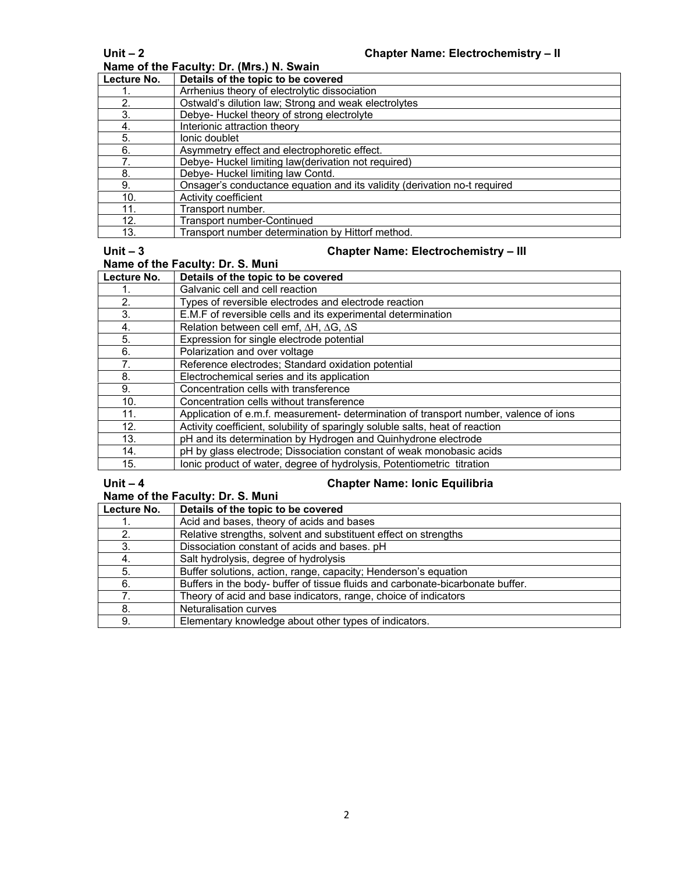**Name of the Faculty: Dr. (Mrs.) N. Swain**

| Lecture No. | Details of the topic to be covered                                        |
|-------------|---------------------------------------------------------------------------|
|             | Arrhenius theory of electrolytic dissociation                             |
| 2.          | Ostwald's dilution law; Strong and weak electrolytes                      |
| 3.          | Debye- Huckel theory of strong electrolyte                                |
| 4.          | Interionic attraction theory                                              |
| 5.          | lonic doublet                                                             |
| 6.          | Asymmetry effect and electrophoretic effect.                              |
| 7.          | Debye- Huckel limiting law(derivation not required)                       |
| 8.          | Debye- Huckel limiting law Contd.                                         |
| 9.          | Onsager's conductance equation and its validity (derivation no-t required |
| 10.         | Activity coefficient                                                      |
| 11.         | Transport number.                                                         |
| 12.         | Transport number-Continued                                                |
| 13.         | Transport number determination by Hittorf method.                         |

# Unit – 3 Chapter Name: Electrochemistry – III

| .                                | $\overline{C}$                                                                        |  |
|----------------------------------|---------------------------------------------------------------------------------------|--|
| Name of the Faculty: Dr. S. Muni |                                                                                       |  |
| Lecture No.                      | Details of the topic to be covered                                                    |  |
|                                  | Galvanic cell and cell reaction                                                       |  |
| 2.                               | Types of reversible electrodes and electrode reaction                                 |  |
| 3.                               | E.M.F of reversible cells and its experimental determination                          |  |
| 4.                               | Relation between cell emf, ∆H, ∆G, ∆S                                                 |  |
| 5.                               | Expression for single electrode potential                                             |  |
| 6.                               | Polarization and over voltage                                                         |  |
| 7.                               | Reference electrodes; Standard oxidation potential                                    |  |
| 8.                               | Electrochemical series and its application                                            |  |
| 9.                               | Concentration cells with transference                                                 |  |
| 10.                              | Concentration cells without transference                                              |  |
| 11.                              | Application of e.m.f. measurement- determination of transport number, valence of ions |  |
| 12.                              | Activity coefficient, solubility of sparingly soluble salts, heat of reaction         |  |
| 13.                              | pH and its determination by Hydrogen and Quinhydrone electrode                        |  |
| 14.                              | pH by glass electrode; Dissociation constant of weak monobasic acids                  |  |
| 15.                              | Ionic product of water, degree of hydrolysis, Potentiometric titration                |  |

## **Unit – 4 Chapter Name: Ionic Equilibria**

### **Name of the Faculty: Dr. S. Muni**

| Lecture No. | Details of the topic to be covered                                             |
|-------------|--------------------------------------------------------------------------------|
|             | Acid and bases, theory of acids and bases                                      |
|             | Relative strengths, solvent and substituent effect on strengths                |
|             | Dissociation constant of acids and bases. pH                                   |
|             | Salt hydrolysis, degree of hydrolysis                                          |
| 5.          | Buffer solutions, action, range, capacity; Henderson's equation                |
| 6.          | Buffers in the body- buffer of tissue fluids and carbonate-bicarbonate buffer. |
|             | Theory of acid and base indicators, range, choice of indicators                |
| 8.          | Neturalisation curves                                                          |
| 9.          | Elementary knowledge about other types of indicators.                          |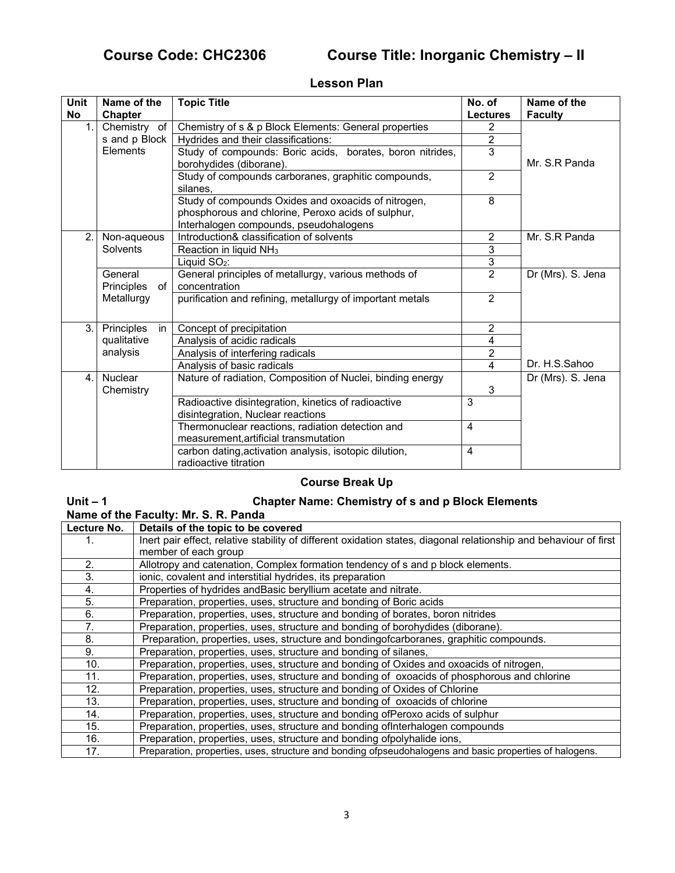# **Course Code: CHC2306 Course Title: Inorganic Chemistry – II**

### **Lesson Plan**

| Unit<br>No     | Name of the      | <b>Topic Title</b>                                                                   | No. of          | Name of the       |
|----------------|------------------|--------------------------------------------------------------------------------------|-----------------|-------------------|
|                | <b>Chapter</b>   |                                                                                      | <b>Lectures</b> | <b>Faculty</b>    |
| 1 <sub>1</sub> | Chemistry of     | Chemistry of s & p Block Elements: General properties                                | 2               |                   |
|                | s and p Block    | Hydrides and their classifications:                                                  | $\overline{2}$  |                   |
|                | Elements         | Study of compounds: Boric acids, borates, boron nitrides,<br>borohydides (diborane). | $\overline{3}$  | Mr. S.R Panda     |
|                |                  | Study of compounds carboranes, graphitic compounds,                                  | $\overline{2}$  |                   |
|                |                  | silanes.                                                                             |                 |                   |
|                |                  | Study of compounds Oxides and oxoacids of nitrogen,                                  | 8               |                   |
|                |                  | phosphorous and chlorine, Peroxo acids of sulphur,                                   |                 |                   |
|                |                  | Interhalogen compounds, pseudohalogens                                               |                 |                   |
| 2.1            | Non-aqueous      | Introduction& classification of solvents                                             | $\overline{2}$  | Mr. S.R Panda     |
|                | Solvents         | Reaction in liquid NH <sub>3</sub>                                                   | 3               |                   |
|                |                  | Liquid SO <sub>2</sub> :                                                             | 3               |                   |
|                | General          | General principles of metallurgy, various methods of                                 | $\overline{2}$  | Dr (Mrs). S. Jena |
|                | Principles<br>of | concentration                                                                        |                 |                   |
|                | Metallurgy       | purification and refining, metallurgy of important metals                            | $\overline{2}$  |                   |
|                |                  |                                                                                      |                 |                   |
| 3.1            | Principles<br>in | Concept of precipitation                                                             | $\overline{2}$  |                   |
|                | qualitative      | Analysis of acidic radicals                                                          | 4               |                   |
|                | analysis         | Analysis of interfering radicals                                                     | $\overline{2}$  |                   |
|                |                  | Analysis of basic radicals                                                           | 4               | Dr. H.S.Sahoo     |
| 4 <sub>1</sub> | <b>Nuclear</b>   | Nature of radiation, Composition of Nuclei, binding energy                           |                 | Dr (Mrs). S. Jena |
|                | Chemistry        |                                                                                      | 3               |                   |
|                |                  | Radioactive disintegration, kinetics of radioactive                                  | 3               |                   |
|                |                  | disintegration, Nuclear reactions                                                    |                 |                   |
|                |                  | Thermonuclear reactions, radiation detection and                                     | $\overline{4}$  |                   |
|                |                  | measurement, artificial transmutation                                                |                 |                   |
|                |                  | carbon dating, activation analysis, isotopic dilution,                               | $\overline{4}$  |                   |
|                |                  | radioactive titration                                                                |                 |                   |

# **Course Break Up**

### **Unit – 1 Chapter Name: Chemistry of s and p Block Elements Name of the Faculty: Mr. S. R. Panda**

| Lecture No. | Details of the topic to be covered                                                                                |
|-------------|-------------------------------------------------------------------------------------------------------------------|
|             | Inert pair effect, relative stability of different oxidation states, diagonal relationship and behaviour of first |
|             | member of each group                                                                                              |
| 2.          | Allotropy and catenation, Complex formation tendency of s and p block elements.                                   |
| 3.          | ionic, covalent and interstitial hydrides, its preparation                                                        |
| 4.          | Properties of hydrides and Basic beryllium acetate and nitrate.                                                   |
| 5.          | Preparation, properties, uses, structure and bonding of Boric acids                                               |
| 6.          | Preparation, properties, uses, structure and bonding of borates, boron nitrides                                   |
| 7.          | Preparation, properties, uses, structure and bonding of borohydides (diborane).                                   |
| 8.          | Preparation, properties, uses, structure and bondingofcarboranes, graphitic compounds.                            |
| 9.          | Preparation, properties, uses, structure and bonding of silanes,                                                  |
| 10.         | Preparation, properties, uses, structure and bonding of Oxides and oxoacids of nitrogen,                          |
| 11.         | Preparation, properties, uses, structure and bonding of oxoacids of phosphorous and chlorine                      |
| 12.         | Preparation, properties, uses, structure and bonding of Oxides of Chlorine                                        |
| 13.         | Preparation, properties, uses, structure and bonding of oxoacids of chlorine                                      |
| 14.         | Preparation, properties, uses, structure and bonding ofPeroxo acids of sulphur                                    |
| 15.         | Preparation, properties, uses, structure and bonding of Interhalogen compounds                                    |
| 16.         | Preparation, properties, uses, structure and bonding ofpolyhalide ions,                                           |
| 17.         | Preparation, properties, uses, structure and bonding ofpseudohalogens and basic properties of halogens.           |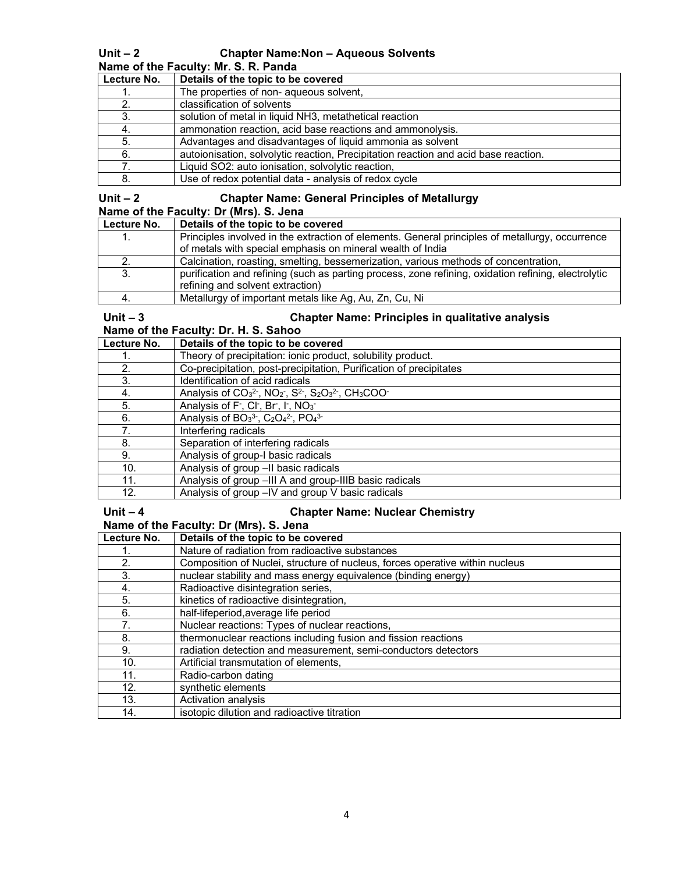## **Unit – 2 Chapter Name:Non – Aqueous Solvents**

**Name of the Faculty: Mr. S. R. Panda** 

| Lecture No. | Details of the topic to be covered                                                  |
|-------------|-------------------------------------------------------------------------------------|
|             | The properties of non- aqueous solvent,                                             |
|             | classification of solvents                                                          |
|             | solution of metal in liquid NH3, metathetical reaction                              |
| 4.          | ammonation reaction, acid base reactions and ammonolysis.                           |
| 5.          | Advantages and disadvantages of liquid ammonia as solvent                           |
| 6.          | autoionisation, solvolytic reaction, Precipitation reaction and acid base reaction. |
|             | Liquid SO2: auto ionisation, solvolytic reaction,                                   |
|             | Use of redox potential data - analysis of redox cycle                               |

### **Unit – 2 Chapter Name: General Principles of Metallurgy Name of the Faculty: Dr (Mrs). S. Jena**

| Lecture No. | Details of the topic to be covered                                                                  |
|-------------|-----------------------------------------------------------------------------------------------------|
|             | Principles involved in the extraction of elements. General principles of metallurgy, occurrence     |
|             | of metals with special emphasis on mineral wealth of India                                          |
|             | Calcination, roasting, smelting, bessemerization, various methods of concentration,                 |
|             | purification and refining (such as parting process, zone refining, oxidation refining, electrolytic |
|             | refining and solvent extraction)                                                                    |
|             | Metallurgy of important metals like Ag, Au, Zn, Cu, Ni                                              |

# Unit – 3 Chapter Name: Principles in qualitative analysis

# **Name of the Faculty: Dr. H. S. Sahoo**

| Lecture No. | Details of the topic to be covered                                                                                                              |
|-------------|-------------------------------------------------------------------------------------------------------------------------------------------------|
|             | Theory of precipitation: ionic product, solubility product.                                                                                     |
| 2.          | Co-precipitation, post-precipitation, Purification of precipitates                                                                              |
| 3.          | Identification of acid radicals                                                                                                                 |
| 4.          | Analysis of CO <sub>3</sub> <sup>2</sup> , NO <sub>2</sub> , S <sup>2</sup> , S <sub>2</sub> O <sub>3</sub> <sup>2</sup> , CH <sub>3</sub> COO- |
| 5.          | Analysis of F <sup>-</sup> , Cl <sup>-</sup> , Br <sup>-</sup> , I <sup>-</sup> , NO <sub>3</sub> <sup>-</sup>                                  |
| 6.          | Analysis of BO <sub>3</sub> <sup>3</sup> , C <sub>2</sub> O <sub>4</sub> <sup>2</sup> , PO <sub>4</sub> <sup>3</sup>                            |
| $7_{-}$     | Interfering radicals                                                                                                                            |
| 8.          | Separation of interfering radicals                                                                                                              |
| 9.          | Analysis of group-I basic radicals                                                                                                              |
| 10.         | Analysis of group -II basic radicals                                                                                                            |
| 11.         | Analysis of group -III A and group-IIIB basic radicals                                                                                          |
| 12.         | Analysis of group -IV and group V basic radicals                                                                                                |

## **Unit – 4 Chapter Name: Nuclear Chemistry**

| Name of the Faculty: Dr (Mrs). S. Jena |                                    |  |
|----------------------------------------|------------------------------------|--|
| Lecture No.                            | Details of the topic to be covered |  |

| Lecture No. | Details of the topic to be covered                                           |
|-------------|------------------------------------------------------------------------------|
|             | Nature of radiation from radioactive substances                              |
| 2.          | Composition of Nuclei, structure of nucleus, forces operative within nucleus |
| 3.          | nuclear stability and mass energy equivalence (binding energy)               |
| 4.          | Radioactive disintegration series,                                           |
| 5.          | kinetics of radioactive disintegration,                                      |
| 6.          | half-lifeperiod, average life period                                         |
| 7.          | Nuclear reactions: Types of nuclear reactions,                               |
| 8.          | thermonuclear reactions including fusion and fission reactions               |
| 9.          | radiation detection and measurement, semi-conductors detectors               |
| 10.         | Artificial transmutation of elements,                                        |
| 11.         | Radio-carbon dating                                                          |
| 12.         | synthetic elements                                                           |
| 13.         | Activation analysis                                                          |
| 14.         | isotopic dilution and radioactive titration                                  |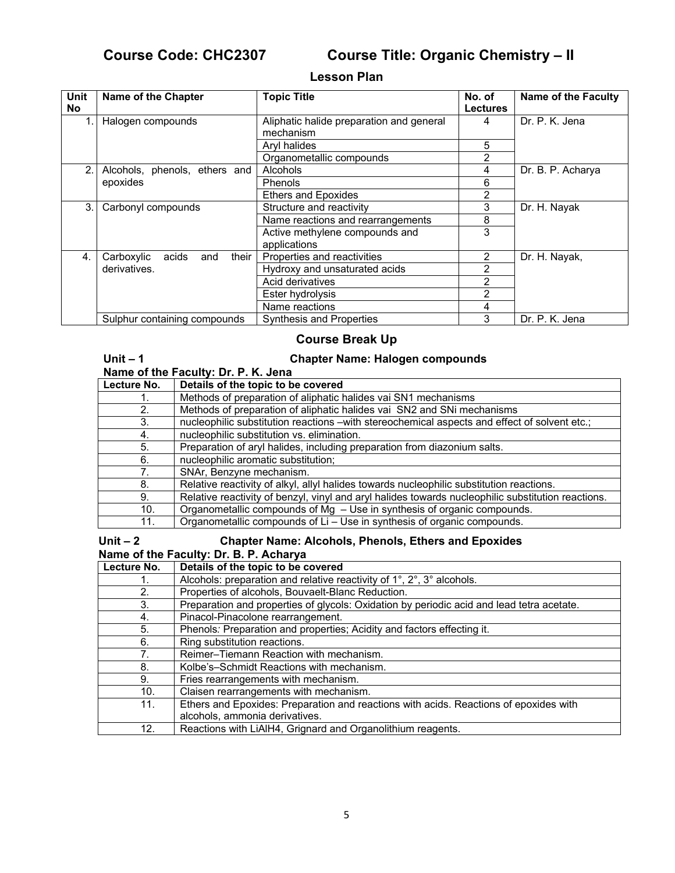Unit – 1

# **Course Code: CHC2307 Course Title: Organic Chemistry – II**

## **Lesson Plan**

| Unit<br>No. | Name of the Chapter                 | <b>Topic Title</b>                                    | No. of<br><b>Lectures</b> | <b>Name of the Faculty</b> |
|-------------|-------------------------------------|-------------------------------------------------------|---------------------------|----------------------------|
|             | Halogen compounds                   | Aliphatic halide preparation and general<br>mechanism | 4                         | Dr. P. K. Jena             |
|             |                                     | Aryl halides                                          | 5                         |                            |
|             |                                     | Organometallic compounds                              | 2                         |                            |
| 2.          | Alcohols, phenols, ethers and       | Alcohols                                              | 4                         | Dr. B. P. Acharya          |
|             | epoxides                            | <b>Phenols</b>                                        | 6                         |                            |
|             |                                     | <b>Ethers and Epoxides</b>                            | 2                         |                            |
| 3.          | Carbonyl compounds                  | Structure and reactivity                              | 3                         | Dr. H. Nayak               |
|             |                                     | Name reactions and rearrangements                     | 8                         |                            |
|             |                                     | Active methylene compounds and                        | 3                         |                            |
|             |                                     | applications                                          |                           |                            |
| 4.          | their<br>Carboxylic<br>acids<br>and | Properties and reactivities                           | 2                         | Dr. H. Nayak,              |
|             | derivatives.                        | Hydroxy and unsaturated acids                         | 2                         |                            |
|             |                                     | Acid derivatives                                      | 2                         |                            |
|             |                                     | Ester hydrolysis                                      | 2                         |                            |
|             |                                     | Name reactions                                        | 4                         |                            |
|             | Sulphur containing compounds        | <b>Synthesis and Properties</b>                       | 3                         | Dr. P. K. Jena             |

## **Course Break Up**

|    |  | <b>Chapter Name: Halogen compounds</b> |  |
|----|--|----------------------------------------|--|
| '' |  |                                        |  |

|             | Name of the Faculty: Dr. P. K. Jena                                                                |  |  |
|-------------|----------------------------------------------------------------------------------------------------|--|--|
| Lecture No. | Details of the topic to be covered                                                                 |  |  |
|             | Methods of preparation of aliphatic halides vai SN1 mechanisms                                     |  |  |
| 2.          | Methods of preparation of aliphatic halides vai SN2 and SNi mechanisms                             |  |  |
| 3.          | nucleophilic substitution reactions -with stereochemical aspects and effect of solvent etc.;       |  |  |
| 4.          | nucleophilic substitution vs. elimination.                                                         |  |  |
| 5.          | Preparation of aryl halides, including preparation from diazonium salts.                           |  |  |
| 6.          | nucleophilic aromatic substitution;                                                                |  |  |
| 7.          | SNAr, Benzyne mechanism.                                                                           |  |  |
| 8.          | Relative reactivity of alkyl, allyl halides towards nucleophilic substitution reactions.           |  |  |
| 9.          | Relative reactivity of benzyl, vinyl and aryl halides towards nucleophilic substitution reactions. |  |  |
| 10.         | Organometallic compounds of Mg - Use in synthesis of organic compounds.                            |  |  |
| 11.         | Organometallic compounds of Li - Use in synthesis of organic compounds.                            |  |  |
|             |                                                                                                    |  |  |

### **Unit – 2 Chapter Name: Alcohols, Phenols, Ethers and Epoxides Name of the Faculty: Dr. B. P. Acharya**

| Lecture No.                               | Details of the topic to be covered                                                        |
|-------------------------------------------|-------------------------------------------------------------------------------------------|
|                                           | Alcohols: preparation and relative reactivity of 1°, 2°, 3° alcohols.                     |
| 2.                                        | Properties of alcohols, Bouvaelt-Blanc Reduction.                                         |
| 3.                                        | Preparation and properties of glycols: Oxidation by periodic acid and lead tetra acetate. |
| 4.                                        | Pinacol-Pinacolone rearrangement.                                                         |
| 5.                                        | Phenols: Preparation and properties; Acidity and factors effecting it.                    |
| 6.                                        | Ring substitution reactions.                                                              |
| $7_{\scriptscriptstyle{\ddot{\text{c}}}}$ | Reimer-Tiemann Reaction with mechanism.                                                   |
| 8.                                        | Kolbe's-Schmidt Reactions with mechanism.                                                 |
| 9.                                        | Fries rearrangements with mechanism.                                                      |
| 10.                                       | Claisen rearrangements with mechanism.                                                    |
| 11.                                       | Ethers and Epoxides: Preparation and reactions with acids. Reactions of epoxides with     |
|                                           | alcohols, ammonia derivatives.                                                            |
| 12.                                       | Reactions with LiAlH4, Grignard and Organolithium reagents.                               |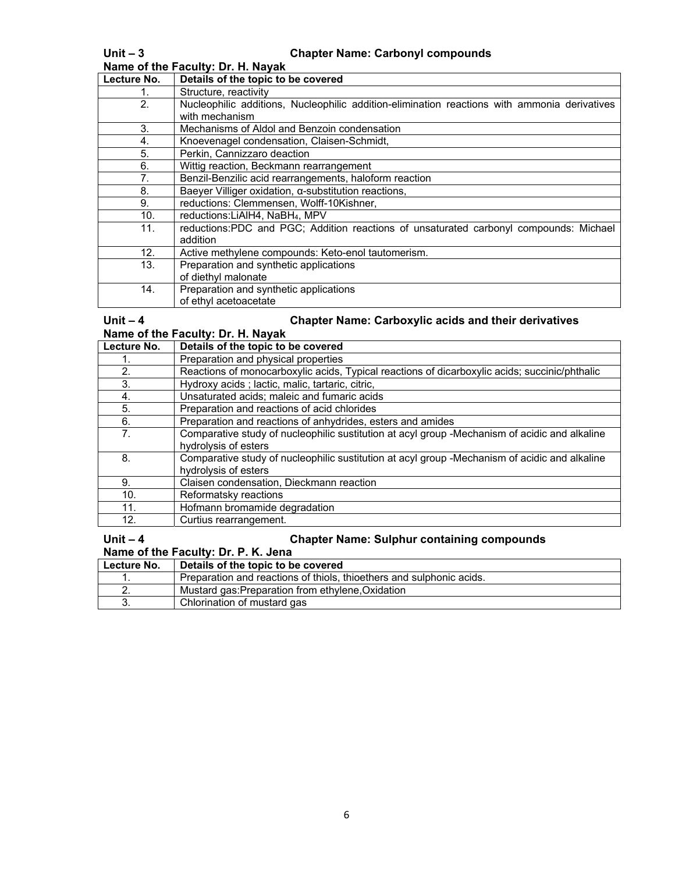| Name of the Faculty: Dr. H. Nayak |                                                                                              |  |  |
|-----------------------------------|----------------------------------------------------------------------------------------------|--|--|
| Lecture No.                       | Details of the topic to be covered                                                           |  |  |
|                                   | Structure, reactivity                                                                        |  |  |
| 2.                                | Nucleophilic additions, Nucleophilic addition-elimination reactions with ammonia derivatives |  |  |
|                                   | with mechanism                                                                               |  |  |
| 3.                                | Mechanisms of Aldol and Benzoin condensation                                                 |  |  |
| 4.                                | Knoevenagel condensation, Claisen-Schmidt,                                                   |  |  |
| 5.                                | Perkin, Cannizzaro deaction                                                                  |  |  |
| 6.                                | Wittig reaction, Beckmann rearrangement                                                      |  |  |
| 7.                                | Benzil-Benzilic acid rearrangements, haloform reaction                                       |  |  |
| 8.                                | Baeyer Villiger oxidation, a-substitution reactions,                                         |  |  |
| 9.                                | reductions: Clemmensen, Wolff-10Kishner,                                                     |  |  |
| 10.                               | reductions:LiAlH4, NaBH <sub>4</sub> , MPV                                                   |  |  |
| 11.                               | reductions:PDC and PGC; Addition reactions of unsaturated carbonyl compounds: Michael        |  |  |
|                                   | addition                                                                                     |  |  |
| 12.                               | Active methylene compounds: Keto-enol tautomerism.                                           |  |  |
| 13.                               | Preparation and synthetic applications                                                       |  |  |
|                                   | of diethyl malonate                                                                          |  |  |
| 14.                               | Preparation and synthetic applications                                                       |  |  |
|                                   | of ethyl acetoacetate                                                                        |  |  |

**Unit – 4 Chapter Name: Carboxylic acids and their derivatives** 

**Name of the Faculty: Dr. H. Nayak**

| Lecture No.    | Details of the topic to be covered                                                            |
|----------------|-----------------------------------------------------------------------------------------------|
|                | Preparation and physical properties                                                           |
| 2.             | Reactions of monocarboxylic acids, Typical reactions of dicarboxylic acids; succinic/phthalic |
| 3.             | Hydroxy acids; lactic, malic, tartaric, citric,                                               |
| 4.             | Unsaturated acids; maleic and fumaric acids                                                   |
| 5.             | Preparation and reactions of acid chlorides                                                   |
| 6.             | Preparation and reactions of anhydrides, esters and amides                                    |
| 7 <sub>1</sub> | Comparative study of nucleophilic sustitution at acyl group -Mechanism of acidic and alkaline |
|                | hydrolysis of esters                                                                          |
| 8.             | Comparative study of nucleophilic sustitution at acyl group -Mechanism of acidic and alkaline |
|                | hydrolysis of esters                                                                          |
| 9.             | Claisen condensation, Dieckmann reaction                                                      |
| 10.            | Reformatsky reactions                                                                         |
| 11.            | Hofmann bromamide degradation                                                                 |
| 12.            | Curtius rearrangement.                                                                        |

### **Unit – 4 Chapter Name: Sulphur containing compounds**

**Name of the Faculty: Dr. P. K. Jena**

| Lecture No. | Details of the topic to be covered                                   |
|-------------|----------------------------------------------------------------------|
|             | Preparation and reactions of thiols, thioethers and sulphonic acids. |
|             | Mustard gas: Preparation from ethylene, Oxidation                    |
|             | Chlorination of mustard gas                                          |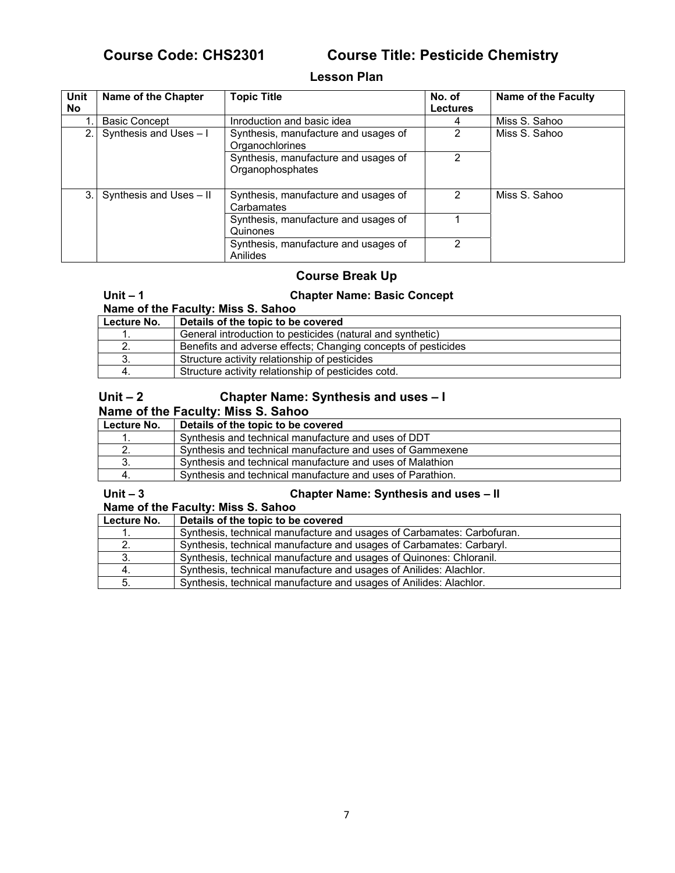# **Course Code: CHS2301 Course Title: Pesticide Chemistry**

### **Lesson Plan**

| Unit<br>No. | Name of the Chapter          | <b>Topic Title</b>                                       | No. of<br><b>Lectures</b> | Name of the Faculty |
|-------------|------------------------------|----------------------------------------------------------|---------------------------|---------------------|
|             | <b>Basic Concept</b>         | Inroduction and basic idea                               | 4                         | Miss S. Sahoo       |
|             | Synthesis and Uses - I       | Synthesis, manufacture and usages of<br>Organochlorines  | 2                         | Miss S. Sahoo       |
|             |                              | Synthesis, manufacture and usages of<br>Organophosphates | 2                         |                     |
|             | 3. Synthesis and Uses $-$ II | Synthesis, manufacture and usages of<br>Carbamates       | 2                         | Miss S. Sahoo       |
|             |                              | Synthesis, manufacture and usages of<br>Quinones         |                           |                     |
|             |                              | Synthesis, manufacture and usages of<br>Anilides         | 2                         |                     |

## **Course Break Up**

### **Unit – 1 Chapter Name: Basic Concept**

**Name of the Faculty: Miss S. Sahoo**

| Lecture No. | Details of the topic to be covered                            |
|-------------|---------------------------------------------------------------|
|             | General introduction to pesticides (natural and synthetic)    |
|             | Benefits and adverse effects; Changing concepts of pesticides |
|             | Structure activity relationship of pesticides                 |
|             | Structure activity relationship of pesticides cotd.           |

## Unit – 2 Chapter Name: Synthesis and uses – I

## **Name of the Faculty: Miss S. Sahoo**

| Lecture No. | Details of the topic to be covered                         |
|-------------|------------------------------------------------------------|
|             | Synthesis and technical manufacture and uses of DDT        |
|             | Synthesis and technical manufacture and uses of Gammexene  |
|             | Synthesis and technical manufacture and uses of Malathion  |
|             | Synthesis and technical manufacture and uses of Parathion. |

### **Unit – 3 Chapter Name: Synthesis and uses – II**

| Name of the Faculty: Miss S. Sahoo |                                                                        |  |
|------------------------------------|------------------------------------------------------------------------|--|
| Lecture No.                        | Details of the topic to be covered                                     |  |
|                                    | Synthesis, technical manufacture and usages of Carbamates: Carbofuran. |  |
|                                    | Synthesis, technical manufacture and usages of Carbamates: Carbaryl.   |  |
|                                    | Synthesis, technical manufacture and usages of Quinones: Chloranil.    |  |
|                                    | Synthesis, technical manufacture and usages of Anilides: Alachlor.     |  |
|                                    | Synthesis, technical manufacture and usages of Anilides: Alachlor.     |  |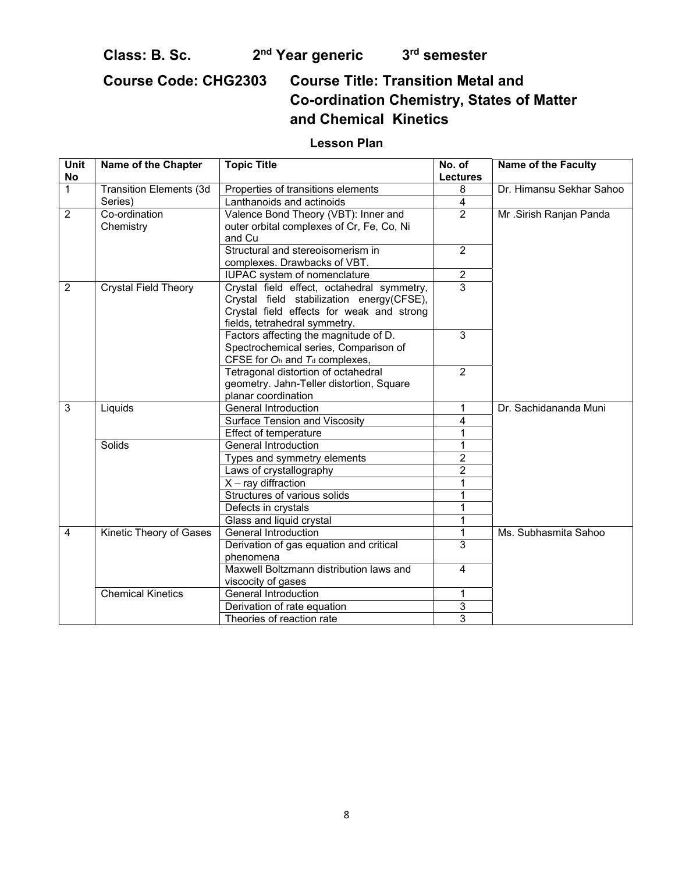Class: B. Sc. 2<sup>nd</sup> Year generic 3<sup>rd</sup> semester

**Course Code: CHG2303 Course Title: Transition Metal and Co-ordination Chemistry, States of Matter and Chemical Kinetics** 

# **Lesson Plan**

| Unit<br>No     | Name of the Chapter            | <b>Topic Title</b>                                                                                                                                                    | No. of<br><b>Lectures</b> | <b>Name of the Faculty</b> |
|----------------|--------------------------------|-----------------------------------------------------------------------------------------------------------------------------------------------------------------------|---------------------------|----------------------------|
| $\mathbf{1}$   | <b>Transition Elements (3d</b> | Properties of transitions elements                                                                                                                                    | 8                         | Dr. Himansu Sekhar Sahoo   |
|                | Series)                        | Lanthanoids and actinoids                                                                                                                                             | $\overline{\mathbf{4}}$   |                            |
| $\overline{2}$ | Co-ordination<br>Chemistry     | Valence Bond Theory (VBT): Inner and<br>outer orbital complexes of Cr, Fe, Co, Ni<br>and Cu                                                                           | $\overline{2}$            | Mr .Sirish Ranjan Panda    |
|                |                                | Structural and stereoisomerism in<br>complexes. Drawbacks of VBT.                                                                                                     | $\overline{2}$            |                            |
|                |                                | IUPAC system of nomenclature                                                                                                                                          | $\overline{2}$            |                            |
| $\overline{2}$ | <b>Crystal Field Theory</b>    | Crystal field effect, octahedral symmetry,<br>Crystal field stabilization energy(CFSE),<br>Crystal field effects for weak and strong<br>fields, tetrahedral symmetry. | 3                         |                            |
|                |                                | Factors affecting the magnitude of D.<br>Spectrochemical series, Comparison of<br>CFSE for $O_h$ and $T_d$ complexes,                                                 | 3                         |                            |
|                |                                | Tetragonal distortion of octahedral<br>geometry. Jahn-Teller distortion, Square<br>planar coordination                                                                | 2                         |                            |
| $\overline{3}$ | Liquids                        | <b>General Introduction</b>                                                                                                                                           | $\mathbf{1}$              | Dr. Sachidananda Muni      |
|                |                                | Surface Tension and Viscosity                                                                                                                                         | 4                         |                            |
|                |                                | Effect of temperature                                                                                                                                                 | 1                         |                            |
|                | Solids                         | General Introduction                                                                                                                                                  | $\mathbf{1}$              |                            |
|                |                                | Types and symmetry elements                                                                                                                                           | $\overline{2}$            |                            |
|                |                                | Laws of crystallography                                                                                                                                               | $\overline{2}$            |                            |
|                |                                | $X - ray$ diffraction                                                                                                                                                 | 1                         |                            |
|                |                                | Structures of various solids                                                                                                                                          | 1                         |                            |
|                |                                | Defects in crystals                                                                                                                                                   | 1                         |                            |
|                |                                | Glass and liquid crystal                                                                                                                                              | $\mathbf{1}$              |                            |
| $\overline{4}$ | Kinetic Theory of Gases        | <b>General Introduction</b>                                                                                                                                           | $\mathbf{1}$              | Ms. Subhasmita Sahoo       |
|                |                                | Derivation of gas equation and critical                                                                                                                               | 3                         |                            |
|                |                                | phenomena                                                                                                                                                             |                           |                            |
|                |                                | Maxwell Boltzmann distribution laws and<br>viscocity of gases                                                                                                         | 4                         |                            |
|                | <b>Chemical Kinetics</b>       | General Introduction                                                                                                                                                  | 1                         |                            |
|                |                                | Derivation of rate equation                                                                                                                                           | 3                         |                            |
|                |                                | Theories of reaction rate                                                                                                                                             | 3                         |                            |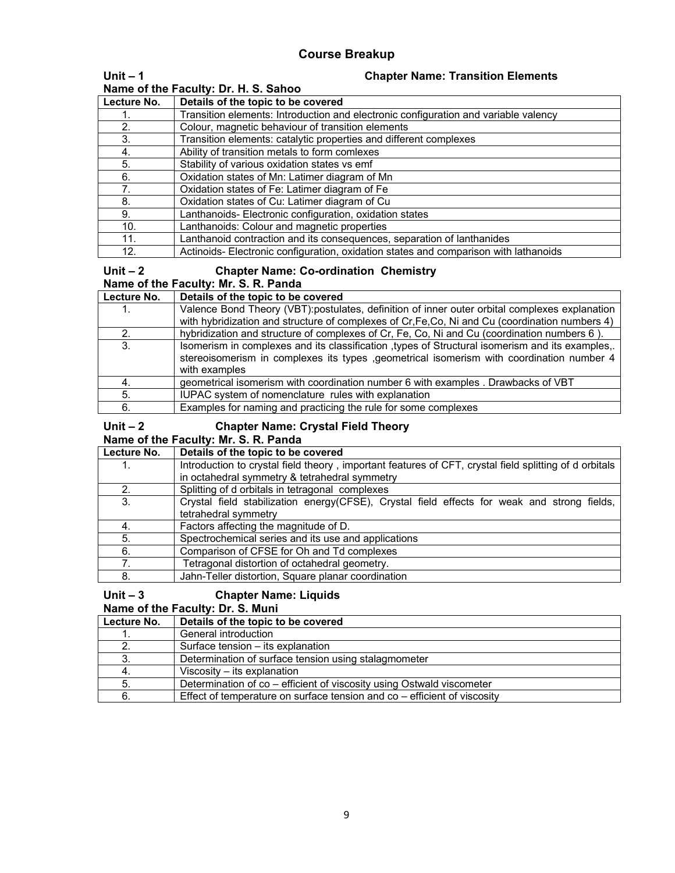| Unit $-1$                            | <b>Chapter Name: Transition Elements</b>                                             |
|--------------------------------------|--------------------------------------------------------------------------------------|
| Name of the Faculty: Dr. H. S. Sahoo |                                                                                      |
| Lecture No.                          | Details of the topic to be covered                                                   |
|                                      | Transition elements: Introduction and electronic configuration and variable valency  |
| 2.                                   | Colour, magnetic behaviour of transition elements                                    |
| 3.                                   | Transition elements: catalytic properties and different complexes                    |
| 4.                                   | Ability of transition metals to form comlexes                                        |
| 5.                                   | Stability of various oxidation states vs emf                                         |
| 6.                                   | Oxidation states of Mn: Latimer diagram of Mn                                        |
| 7.                                   | Oxidation states of Fe: Latimer diagram of Fe                                        |
| 8.                                   | Oxidation states of Cu: Latimer diagram of Cu                                        |
| 9.                                   | Lanthanoids- Electronic configuration, oxidation states                              |
| 10.                                  | Lanthanoids: Colour and magnetic properties                                          |
| 11.                                  | Lanthanoid contraction and its consequences, separation of lanthanides               |
| 12.                                  | Actinoids- Electronic configuration, oxidation states and comparison with lathanoids |

### **Unit – 2 Chapter Name: Co-ordination Chemistry Name of the Faculty: Mr. S. R. Panda**

| Lecture No. | Details of the topic to be covered                                                              |
|-------------|-------------------------------------------------------------------------------------------------|
|             | Valence Bond Theory (VBT):postulates, definition of inner outer orbital complexes explanation   |
|             | with hybridization and structure of complexes of Cr, Fe, Co, Ni and Cu (coordination numbers 4) |
|             | hybridization and structure of complexes of Cr, Fe, Co, Ni and Cu (coordination numbers 6).     |
| 3.          | Isomerism in complexes and its classification types of Structural isomerism and its examples.   |
|             | stereoisomerism in complexes its types , geometrical isomerism with coordination number 4       |
|             | with examples                                                                                   |
|             | geometrical isomerism with coordination number 6 with examples . Drawbacks of VBT               |
| 5.          | IUPAC system of nomenclature rules with explanation                                             |
| 6.          | Examples for naming and practicing the rule for some complexes                                  |

| Unit $-2$<br><b>Chapter Name: Crystal Field Theory</b><br>Name of the Faculty: Mr. S. R. Panda |                                                                                                        |
|------------------------------------------------------------------------------------------------|--------------------------------------------------------------------------------------------------------|
| Lecture No.                                                                                    | Details of the topic to be covered                                                                     |
|                                                                                                | Introduction to crystal field theory, important features of CFT, crystal field splitting of d orbitals |
|                                                                                                | in octahedral symmetry & tetrahedral symmetry                                                          |
| 2.                                                                                             | Splitting of d orbitals in tetragonal complexes                                                        |
| 3.                                                                                             | Crystal field stabilization energy(CFSE), Crystal field effects for weak and strong fields,            |
|                                                                                                | tetrahedral symmetry                                                                                   |
| 4.                                                                                             | Factors affecting the magnitude of D.                                                                  |
| 5.                                                                                             | Spectrochemical series and its use and applications                                                    |
| 6.                                                                                             | Comparison of CFSE for Oh and Td complexes                                                             |
|                                                                                                | Tetragonal distortion of octahedral geometry.                                                          |

# **Unit – 3 Chapter Name: Liquids**

8. **Jahn-Teller distortion, Square planar coordination** 

**Name of the Faculty: Dr. S. Muni** 

| Lecture No. | Details of the topic to be covered                                           |
|-------------|------------------------------------------------------------------------------|
|             | General introduction                                                         |
|             | Surface tension – its explanation                                            |
|             | Determination of surface tension using stalagmometer                         |
|             | Viscosity – its explanation                                                  |
|             | Determination of co – efficient of viscosity using Ostwald viscometer        |
|             | Effect of temperature on surface tension and $\cos$ – efficient of viscosity |